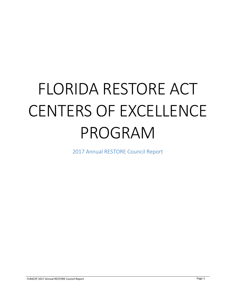# FLORIDA RESTORE ACT CENTERS OF EXCELLENCE PROGRAM

2017 Annual RESTORE Council Report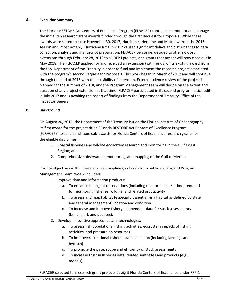#### **A. Executive Summary**

The Florida RESTORE Act Centers of Excellence Program (FLRACEP) continues to monitor and manage the initial ten research grant awards funded through the first Request for Proposals. While these awards were slated to close November 30, 2017, Hurricanes Hermine and Matthew from the 2016 season and, most notably, Hurricane Irma in 2017 caused significant delays and disturbances to data collection, analysis and manuscript preparation. FLRACEP personnel decided to offer no-cost extensions through February 28, 2018 to all RFP I projects, and grants that accept will now close out in May 2018. The FLRACEP applied for and received an extension (with funds) of its existing award from the U.S. Department of the Treasury in order to fund and implement the research project associated with the program's second Request for Proposals. This work began in March of 2017 and will continue through the end of 2018 with the possibility of extension. External science review of the project is planned for the summer of 2018, and the Program Management Team will decide on the extent and duration of any project extension at that time. FLRACEP participated in its second programmatic audit in July 2017 and is awaiting the report of findings from the Department of Treasury Office of the Inspector General.

## **B. Background**

On August 20, 2015, the Department of the Treasury issued the Florida Institute of Oceanography its first award for the project titled "Florida RESTORE Act Centers of Excellence Program (FLRACEP)" to solicit and issue sub-awards for Florida Centers of Excellence research grants for the eligible disciplines:

- 1. Coastal fisheries and wildlife ecosystem research and monitoring in the Gulf Coast Region; and
- 2. Comprehensive observation, monitoring, and mapping of the Gulf of Mexico.

Priority objectives within these eligible disciplines, as taken from public scoping and Program Management Team review included:

- 1. Improve data and information products:
	- a. To enhance biological observations (including real- or near-real time) required for monitoring fisheries, wildlife, and related productivity
	- b. To assess and map habitat (especially Essential Fish Habitat as defined by state and federal management) location and condition
	- c. To increase and improve fishery independent data for stock assessments (benchmark and updates).
- 2. Develop innovative approaches and technologies:
	- a. To assess fish populations, fishing activities, ecosystem impacts of fishing activities, and pressure on resources
	- b. To improve recreational fisheries data collection (including landings and bycatch)
	- c. To promote the pace, scope and efficiency of stock assessments
	- d. To increase trust in fisheries data, related syntheses and products (e.g., models).

FLRACEP selected ten research grant projects at eight Florida Centers of Excellence under RFP-1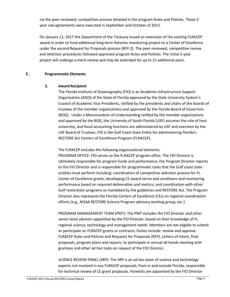via the peer-reviewed, competitive process detailed in the program Rules and Policies. These 2 year sub-agreements were executed in September and October of 2015.

On January 11, 2017 the Department of the Treasury issued an extension of the existing FLRACEP award in order to fund additional long-term fisheries monitoring project to a Center of Excellence under the second Request for Proposals process (RFP-2). The peer-reviewed, competitive review and selection procedures followed approved program Rules and Policies. The initial 2-year project will undergo a merit review and may be extended for up to 15 additional years.

## **C. Programmatic Elements**

# **1. Award Recipient**

The Florida Institute of Oceanography (FIO) is an Academic Infrastructure Support Organization (AISO) of the State of Florida approved by the State University System's Council of Academic Vice Presidents, ratified by the presidents and chairs of the boards of trustees of the member organizations and approved by the Florida Board of Governors (BOG). Under a Memorandum of Understanding ratified by the member organizations and approved by the BOG, the University of South Florida (USF) assumes the role of host university, and fiscal accounting functions are administered by USF and overseen by the USF Board of Trustees. FIO is the Gulf Coast State Entity for administering Florida's RESTORE Act Centers of Excellence Program (FLRACEP).

The FLRACEP includes the following organizational elements:

PROGRAM OFFICE: FIO serves as the FLRACEP program office. The FIO Director is ultimately responsible for program funds and performance; the Program Director reports to the FIO Director and is responsible for programmatic tasks that the Gulf coast state entities must perform including: coordination of competitive selection process for FL Center of Excellence grants; developing CE award terms and conditions and monitoring performance based on required deliverables and metrics; and coordination with other Gulf restoration programs as mandated by the guidelines and RESTORE Act. The Program Director also represents the Florida Centers of Excellence (CEs) on regional coordination efforts (e.g., NOAA RESTORE Science Program advisory working group, etc.).

PROGRAM MANAGEMENT TEAM (PMT): The PMT includes the FIO Director and other senior-level advisors appointed by the FIO Director, based on their knowledge of FL regional science, technology and management needs. Members are not eligible to submit or participate on FLRACEP grants or contracts. Duties include: review and approve FLRACEP Rules and Policies and Requests for Proposals (RFP), Letters of Intent, final proposals, program plans and reports, to participate in annual all-hands meeting with grantees and other ad hoc tasks on request of the FIO Director.

SCIENCE REVIEW PANEL (SRP): The SRP is an ad hoc team of science and technology experts not involved in any FLRACEP proposals, from in and outside Florida, responsible for technical review of CE grant proposals. Panelists are appointed by the FIO Director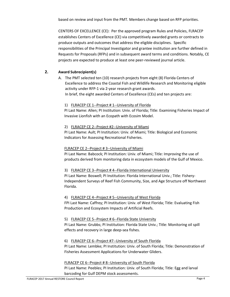based on review and input from the PMT. Members change based on RFP priorities.

CENTERS OF EXCELLENCE (CE): Per the approved program Rules and Policies, FLRACEP establishes Centers of Excellence (CE) via competitively awarded grants or contracts to produce outputs and outcomes that address the eligible disciplines. Specific responsibilities of the Principal Investigator and grantee institution are further defined in Requests for Proposals (RFPs) and in subsequent award terms and conditions. Notably, CE projects are expected to produce at least one peer-reviewed journal article.

# **2. Award Subrecipient(s)**

A. The PMT selected ten (10) research projects from eight (8) Florida Centers of Excellence to address the Coastal Fish and Wildlife Research and Monitoring eligible activity under RFP-1 via 2-year research grant awards. In brief, the eight awarded Centers of Excellence (CEs) and ten projects are:

# 1) FLRACEP CE 1--Project # 1--University of Florida

PI Last Name: Allen; PI Institution: Univ. of Florida; Title: Examining Fisheries Impact of Invasive Lionfish with an Ecopath with Ecosim Model.

## 2) FLRACEP CE 2--Project #2--University of Miami

PI Last Name: Ault; PI Institution: Univ. of Miami; Title: Biological and Economic Indicators for Assessing Recreational Fisheries.

## FLRACEP CE 2--Project # 3--University of Miami

PI Last Name: Babcock; PI Institution: Univ. of Miami; Title: Improving the use of products derived from monitoring data in ecosystem models of the Gulf of Mexico.

## 3) FLRACEP CE 3--Project # 4--Florida International University

PI Last Name: Boswell; PI Institution: Florida International Univ.; Title: Fishery-Independent Surveys of Reef Fish Community, Size, and Age Structure off Northwest Florida.

## 4) FLRACEP CE 4--Project # 5--University of West Florida

FPI Last Name: Caffrey; PI Institution: Univ. of West Florida; Title: Evaluating Fish Production and Ecosystem Impacts of Artificial Reefs.

## 5) FLRACEP CE 5--Project # 6--Florida State University

PI Last Name: Grubbs; PI Institution: Florida State Univ.; Title: Monitoring oil spill effects and recovery in large deep-sea fishes.

## 6) FLRACEP CE 6--Project #7--University of South Florida

PI Last Name: Lembke; PI Institution: Univ. of South Florida; Title: Demonstration of Fisheries Assessment Applications for Underwater Gliders.

## FLRACEP CE 6--Project # 8--University of South Florida

PI Last Name: Peebles; PI Institution: Univ. of South Florida; Title: Egg and larval barcoding for Gulf DEPM stock assessments.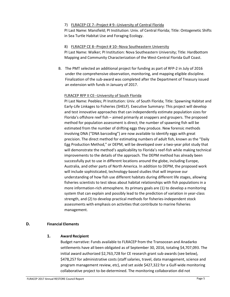#### 7) FLRACEP CE 7--Project # 9--University of Central Florida

PI Last Name: Mansfield; PI Institution: Univ. of Central Florida; Title: Ontogenetic Shifts in Sea Turtle Habitat Use and Foraging Ecology.

#### 8) FLRACEP CE 8--Project # 10--Nova Southeastern University

PI Last Name: Walker; PI Institution: Nova Southeastern University; Title: Hardbottom Mapping and Community Characterization of the West-Central Florida Gulf Coast.

B. The PMT selected an additional project for funding as part of RFP-2 in July of 2016 under the comprehensive observation, monitoring, and mapping eligible discipline. Finalization of the sub-award was completed after the Department of Treasury issued an extension with funds in January of 2017.

#### FLRACEP RFP II CE--University of South Florida

PI Last Name: Peebles; PI Institution: Univ. of South Florida; Title: Spawning Habitat and Early-Life Linkages to Fisheries (SHELF). Executive Summary: This project will develop and test innovative approaches that can independently estimate population sizes for Florida's offshore reef fish – aimed primarily at snappers and groupers. The proposed method for population assessment is direct; the number of spawning fish will be estimated from the number of drifting eggs they produce. New forensic methods involving DNA ("DNA barcoding") are now available to identify eggs with great precision. The direct method for estimating numbers of adult fish, known as the "Daily Egg Production Method," or DEPM, will be developed over a two-year pilot study that will demonstrate the method's applicability to Florida's reef-fish while making technical improvements to the details of the approach. The DEPM method has already been successfully put to use in different locations around the globe, including Europe, Australia, and other parts of North America. In addition to DEPM, the proposed work will include sophisticated, technology-based studies that will improve our understanding of how fish use different habitats during different life stages, allowing fisheries scientists to test ideas about habitat relationships with fish populations in a more information-rich atmosphere. Its primary goals are (1) to develop a monitoring system that can explain and possibly lead to the prediction of variation in year-class strength, and (2) to develop practical methods for fisheries-independent stock assessments with emphasis on activities that contribute to marine fisheries management.

## **D. Financial Elements**

#### **1. Award Recipient**

Budget narrative: Funds available to FLRACEP from the Transocean and Anadarko settlements have all been obligated as of September 30, 2016, totaling \$4,707,093. The initial award authorized \$2,763,728 for CE research grant sub-awards (see below), \$478,257 for administrative costs (staff salaries, travel, data management, science and program management review, etc), and set aside \$427,322 for a Gulf-wide monitoring collaborative project to-be-determined. The monitoring collaboration did not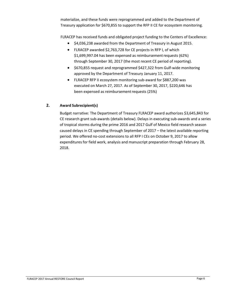materialize, and these funds were reprogrammed and added to the Department of Treasury application for \$670,855 to support the RFP II CE for ecosystem monitoring.

FLRACEP has received funds and obligated project funding to the Centers of Excellence:

- \$4,036,238 awarded from the Department of Treasury in August 2015.
- FLRACEP awarded \$2,763,728 for CE projects in RFP I, of which \$1,699,997.04 has been expensed as reimbursement requests (62%) through September 30, 2017 (the most recent CE period of reporting).
- \$670,855 request and reprogrammed \$427,322 from Gulf-wide monitoring approved by the Department of Treasury January 11, 2017.
- FLRACEP RFP II ecosystem monitoring sub-award for \$887,200 was executed on March 27, 2017. As of September 30, 2017, \$220,646 has been expensed as reimbursement requests (25%)

# **2. Award Subrecipient(s)**

Budget narrative: The Department of Treasury FLRACEP award authorizes \$3,645,843 for CE research grant sub-awards (details below). Delays in executing sub-awards and a series of tropical storms during the prime 2016 and 2017 Gulf of Mexico field research season caused delays in CE spending through September of 2017 – the latest available reporting period. We offered no-cost extensions to all RFP I CEs on October 9, 2017 to allow expenditures for field work, analysis and manuscript preparation through February 28, 2018.